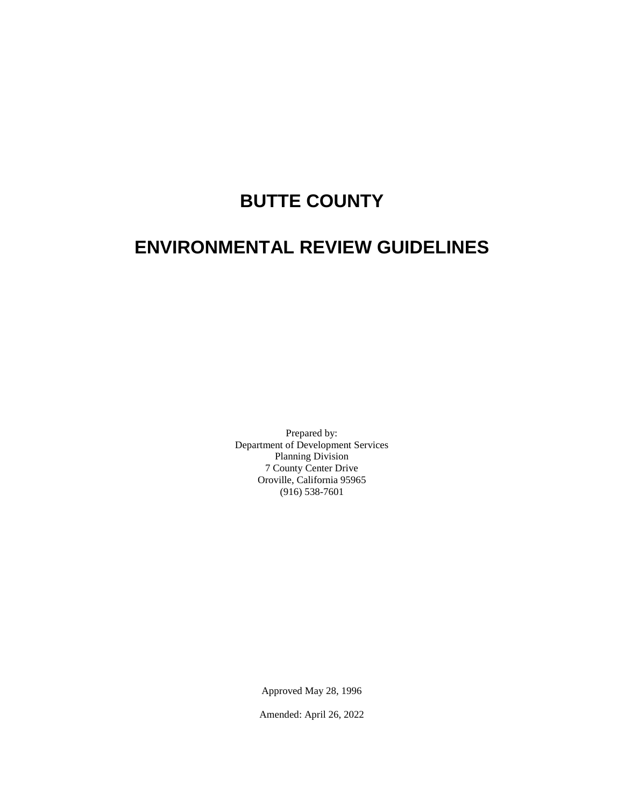# **BUTTE COUNTY**

# **ENVIRONMENTAL REVIEW GUIDELINES**

Prepared by: Department of Development Services Planning Division 7 County Center Drive Oroville, California 95965 (916) 538-7601

Approved May 28, 1996

Amended: April 26, 2022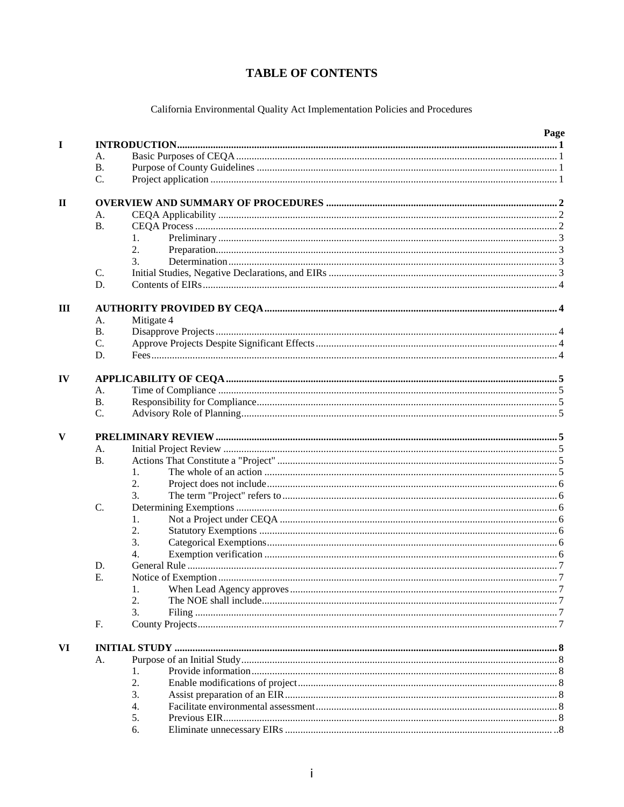# **TABLE OF CONTENTS**

California Environmental Quality Act Implementation Policies and Procedures

|              |           |            | Page |  |  |  |  |
|--------------|-----------|------------|------|--|--|--|--|
| I            |           |            |      |  |  |  |  |
|              | А.        |            |      |  |  |  |  |
|              | <b>B.</b> |            |      |  |  |  |  |
|              | C.        |            |      |  |  |  |  |
| $\mathbf{H}$ |           |            |      |  |  |  |  |
|              | A.        |            |      |  |  |  |  |
|              | <b>B.</b> |            |      |  |  |  |  |
|              |           |            |      |  |  |  |  |
|              |           | 1.         |      |  |  |  |  |
|              |           | 2.         |      |  |  |  |  |
|              |           | 3.         |      |  |  |  |  |
|              | C.        |            |      |  |  |  |  |
|              | D.        |            |      |  |  |  |  |
| III          |           |            |      |  |  |  |  |
|              | A.        | Mitigate 4 |      |  |  |  |  |
|              | <b>B.</b> |            |      |  |  |  |  |
|              | C.        |            |      |  |  |  |  |
|              |           |            |      |  |  |  |  |
|              | D.        |            |      |  |  |  |  |
| IV           |           |            |      |  |  |  |  |
|              | A.        |            |      |  |  |  |  |
|              | <b>B.</b> |            |      |  |  |  |  |
|              | C.        |            |      |  |  |  |  |
|              |           |            |      |  |  |  |  |
| V            |           |            |      |  |  |  |  |
|              | A.        |            |      |  |  |  |  |
|              | <b>B.</b> |            |      |  |  |  |  |
|              |           | 1.         |      |  |  |  |  |
|              |           | 2.         |      |  |  |  |  |
|              |           | 3.         |      |  |  |  |  |
|              | C.        |            |      |  |  |  |  |
|              |           | 1.         |      |  |  |  |  |
|              |           | 2.         |      |  |  |  |  |
|              |           | 3.         |      |  |  |  |  |
|              |           | 4.         |      |  |  |  |  |
|              |           |            |      |  |  |  |  |
|              | D.        |            |      |  |  |  |  |
|              | Ε.        |            |      |  |  |  |  |
|              |           | I.         |      |  |  |  |  |
|              |           | 2.         |      |  |  |  |  |
|              |           | 3.         |      |  |  |  |  |
|              | F.        |            |      |  |  |  |  |
| VI           |           |            |      |  |  |  |  |
|              | A.        |            |      |  |  |  |  |
|              |           | 1.         |      |  |  |  |  |
|              |           | 2.         |      |  |  |  |  |
|              |           | 3.         |      |  |  |  |  |
|              |           |            |      |  |  |  |  |
|              |           | 4.         |      |  |  |  |  |
|              |           | 5.         |      |  |  |  |  |
|              |           | 6.         |      |  |  |  |  |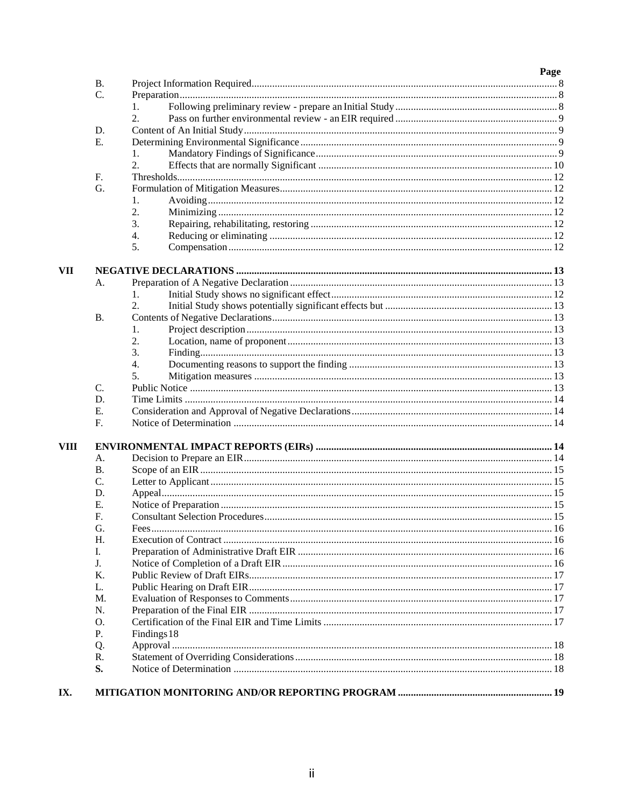|             |           |                  | Page |
|-------------|-----------|------------------|------|
|             | <b>B.</b> |                  |      |
|             | C.        |                  |      |
|             |           | 1.               |      |
|             |           | $\overline{2}$ . |      |
|             | D.        |                  |      |
|             | Ε.        |                  |      |
|             |           | 1.               |      |
|             |           | 2.               |      |
|             | F.        |                  |      |
|             | G.        |                  |      |
|             |           | 1.               |      |
|             |           | 2.               |      |
|             |           | 3.               |      |
|             |           | 4.               |      |
|             |           | 5.               |      |
| VII         |           |                  |      |
|             | А.        |                  |      |
|             |           | 1.               |      |
|             |           | 2.               |      |
|             | <b>B.</b> |                  |      |
|             |           | 1.               |      |
|             |           | 2.               |      |
|             |           | 3.               |      |
|             |           | 4.               |      |
|             |           | 5.               |      |
|             | C.        |                  |      |
|             | D.        |                  |      |
|             | Ε.        |                  |      |
|             | F.        |                  |      |
| <b>VIII</b> |           |                  |      |
|             | A.        |                  |      |
|             | В.        |                  |      |
|             | C.        |                  |      |
|             | D.        |                  |      |
|             | Ε.        |                  |      |
|             | F.        |                  |      |
|             | G.        |                  |      |
|             | H.        |                  |      |
|             | I.        |                  |      |
|             | J.        |                  |      |
|             | Κ.        |                  |      |
|             | L.        |                  |      |
|             | M.        |                  |      |
|             | N.        |                  |      |
|             | O.        |                  |      |
|             | Ρ.        | Findings 18      |      |
|             | Q.        |                  |      |
|             | R.        |                  |      |
|             | S.        |                  |      |
|             |           |                  |      |
| IX.         |           |                  |      |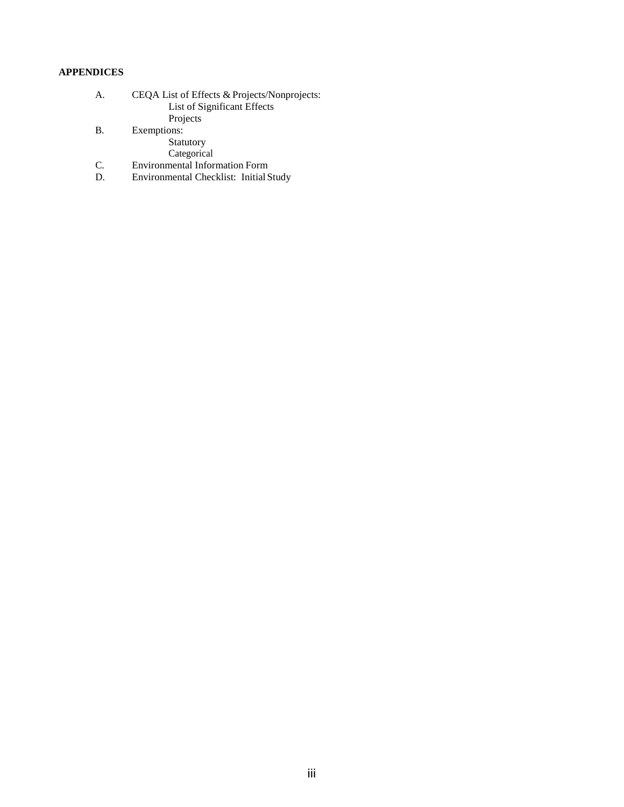## **APPENDICES**

| A. | CEQA List of Effects & Projects/Nonprojects: |
|----|----------------------------------------------|
|    | List of Significant Effects                  |
|    | Projects                                     |

B. Exemptions:

Statutory

Categorical

- C. Environmental Information Form
- D. Environmental Checklist: Initial Study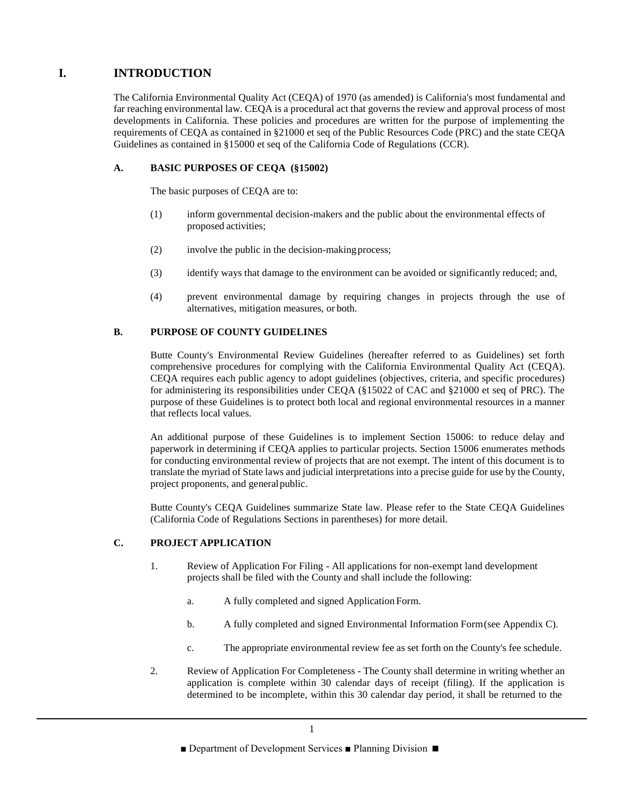# **I. INTRODUCTION**

The California Environmental Quality Act (CEQA) of 1970 (as amended) is California's most fundamental and far reaching environmental law. CEQA is a procedural act that governs the review and approval process of most developments in California. These policies and procedures are written for the purpose of implementing the requirements of CEQA as contained in §21000 et seq of the Public Resources Code (PRC) and the state CEQA Guidelines as contained in §15000 et seq of the California Code of Regulations (CCR).

## **A. BASIC PURPOSES OF CEQA (§15002)**

The basic purposes of CEQA are to:

- (1) inform governmental decision-makers and the public about the environmental effects of proposed activities;
- (2) involve the public in the decision-makingprocess;
- (3) identify ways that damage to the environment can be avoided or significantly reduced; and,
- (4) prevent environmental damage by requiring changes in projects through the use of alternatives, mitigation measures, or both.

## **B. PURPOSE OF COUNTY GUIDELINES**

Butte County's Environmental Review Guidelines (hereafter referred to as Guidelines) set forth comprehensive procedures for complying with the California Environmental Quality Act (CEQA). CEQA requires each public agency to adopt guidelines (objectives, criteria, and specific procedures) for administering its responsibilities under CEQA (§15022 of CAC and §21000 et seq of PRC). The purpose of these Guidelines is to protect both local and regional environmental resources in a manner that reflects local values.

An additional purpose of these Guidelines is to implement Section 15006: to reduce delay and paperwork in determining if CEQA applies to particular projects. Section 15006 enumerates methods for conducting environmental review of projects that are not exempt. The intent of this document is to translate the myriad of State laws and judicial interpretations into a precise guide for use by the County, project proponents, and generalpublic.

Butte County's CEQA Guidelines summarize State law. Please refer to the State CEQA Guidelines (California Code of Regulations Sections in parentheses) for more detail.

## **C. PROJECT APPLICATION**

- 1. Review of Application For Filing All applications for non-exempt land development projects shall be filed with the County and shall include the following:
	- a. A fully completed and signed Application Form.
	- b. A fully completed and signed Environmental Information Form(see Appendix C).
	- c. The appropriate environmental review fee as set forth on the County's fee schedule.
- 2. Review of Application For Completeness The County shall determine in writing whether an application is complete within 30 calendar days of receipt (filing). If the application is determined to be incomplete, within this 30 calendar day period, it shall be returned to the

<sup>■</sup> Department of Development Services ■ Planning Division ■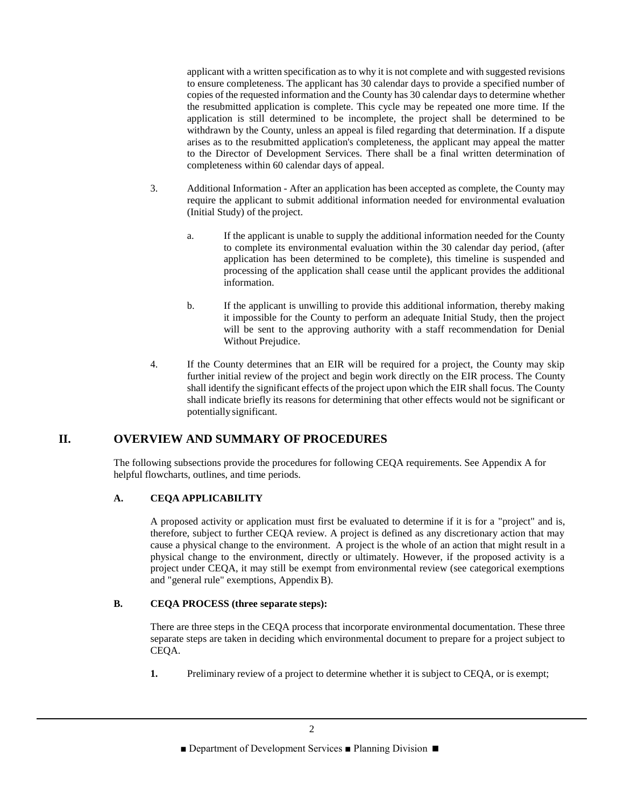applicant with a written specification as to why it is not complete and with suggested revisions to ensure completeness. The applicant has 30 calendar days to provide a specified number of copies of the requested information and the County has 30 calendar days to determine whether the resubmitted application is complete. This cycle may be repeated one more time. If the application is still determined to be incomplete, the project shall be determined to be withdrawn by the County, unless an appeal is filed regarding that determination. If a dispute arises as to the resubmitted application's completeness, the applicant may appeal the matter to the Director of Development Services. There shall be a final written determination of completeness within 60 calendar days of appeal.

- 3. Additional Information After an application has been accepted as complete, the County may require the applicant to submit additional information needed for environmental evaluation (Initial Study) of the project.
	- a. If the applicant is unable to supply the additional information needed for the County to complete its environmental evaluation within the 30 calendar day period, (after application has been determined to be complete), this timeline is suspended and processing of the application shall cease until the applicant provides the additional information.
	- b. If the applicant is unwilling to provide this additional information, thereby making it impossible for the County to perform an adequate Initial Study, then the project will be sent to the approving authority with a staff recommendation for Denial Without Prejudice.
- 4. If the County determines that an EIR will be required for a project, the County may skip further initial review of the project and begin work directly on the EIR process. The County shall identify the significant effects of the project upon which the EIR shall focus. The County shall indicate briefly its reasons for determining that other effects would not be significant or potentially significant.

## **II. OVERVIEW AND SUMMARY OF PROCEDURES**

The following subsections provide the procedures for following CEQA requirements. See Appendix A for helpful flowcharts, outlines, and time periods.

## **A. CEQA APPLICABILITY**

A proposed activity or application must first be evaluated to determine if it is for a "project" and is, therefore, subject to further CEQA review. A project is defined as any discretionary action that may cause a physical change to the environment. A project is the whole of an action that might result in a physical change to the environment, directly or ultimately. However, if the proposed activity is a project under CEQA, it may still be exempt from environmental review (see categorical exemptions and "general rule" exemptions, AppendixB).

## **B. CEQA PROCESS (three separate steps):**

There are three steps in the CEQA process that incorporate environmental documentation. These three separate steps are taken in deciding which environmental document to prepare for a project subject to CEQA.

**1.** Preliminary review of a project to determine whether it is subject to CEQA, or is exempt;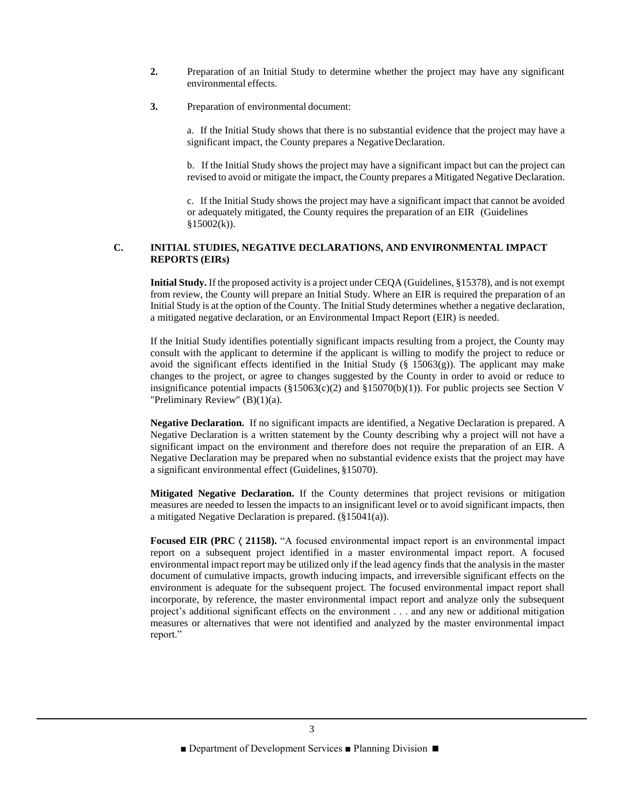- **2.** Preparation of an Initial Study to determine whether the project may have any significant environmental effects.
- **3.** Preparation of environmental document:

a. If the Initial Study shows that there is no substantial evidence that the project may have a significant impact, the County prepares a Negative Declaration.

b. If the Initial Study shows the project may have a significant impact but can the project can revised to avoid or mitigate the impact, the County prepares a Mitigated Negative Declaration.

c. If the Initial Study shows the project may have a significant impact that cannot be avoided or adequately mitigated, the County requires the preparation of an EIR (Guidelines  $$15002(k)$ ).

## **C. INITIAL STUDIES, NEGATIVE DECLARATIONS, AND ENVIRONMENTAL IMPACT REPORTS (EIRs)**

**Initial Study.** If the proposed activity is a project under CEQA (Guidelines, §15378), and is not exempt from review, the County will prepare an Initial Study. Where an EIR is required the preparation of an Initial Study is at the option of the County. The Initial Study determines whether a negative declaration, a mitigated negative declaration, or an Environmental Impact Report (EIR) is needed.

If the Initial Study identifies potentially significant impacts resulting from a project, the County may consult with the applicant to determine if the applicant is willing to modify the project to reduce or avoid the significant effects identified in the Initial Study (§ 15063(g)). The applicant may make changes to the project, or agree to changes suggested by the County in order to avoid or reduce to insignificance potential impacts  $(\S15063(c)(2)$  and  $\S15070(b)(1))$ . For public projects see Section V "Preliminary Review" (B)(1)(a).

**Negative Declaration.** If no significant impacts are identified, a Negative Declaration is prepared. A Negative Declaration is a written statement by the County describing why a project will not have a significant impact on the environment and therefore does not require the preparation of an EIR. A Negative Declaration may be prepared when no substantial evidence exists that the project may have a significant environmental effect (Guidelines, §15070).

**Mitigated Negative Declaration.** If the County determines that project revisions or mitigation measures are needed to lessen the impacts to an insignificant level or to avoid significant impacts, then a mitigated Negative Declaration is prepared. (§15041(a)).

**Focused EIR (PRC**  $\langle$  **21158).** "A focused environmental impact report is an environmental impact report on a subsequent project identified in a master environmental impact report. A focused environmental impact report may be utilized only if the lead agency finds that the analysis in the master document of cumulative impacts, growth inducing impacts, and irreversible significant effects on the environment is adequate for the subsequent project. The focused environmental impact report shall incorporate, by reference, the master environmental impact report and analyze only the subsequent project's additional significant effects on the environment . . . and any new or additional mitigation measures or alternatives that were not identified and analyzed by the master environmental impact report."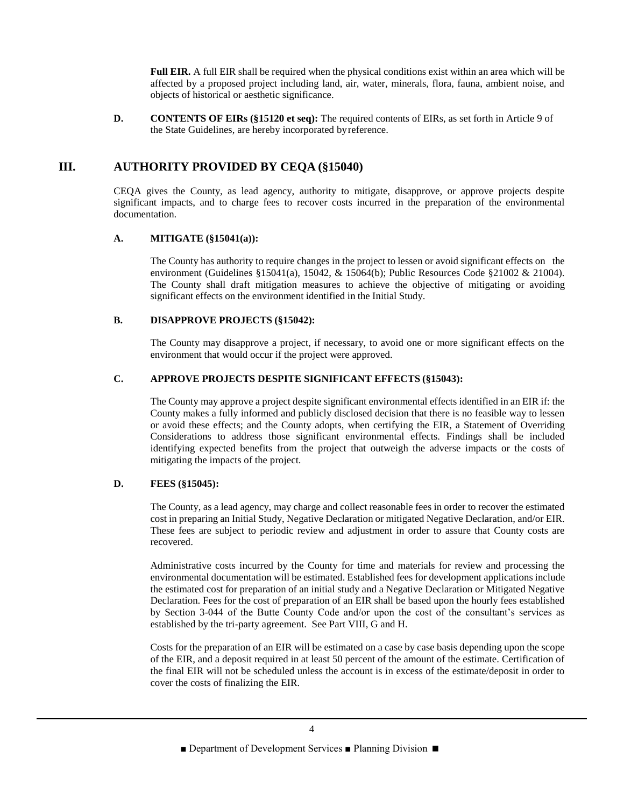**Full EIR.** A full EIR shall be required when the physical conditions exist within an area which will be affected by a proposed project including land, air, water, minerals, flora, fauna, ambient noise, and objects of historical or aesthetic significance.

**D. CONTENTS OF EIRs (§15120 et seq):** The required contents of EIRs, as set forth in Article 9 of the State Guidelines, are hereby incorporated byreference.

## **III. AUTHORITY PROVIDED BY CEQA (§15040)**

CEQA gives the County, as lead agency, authority to mitigate, disapprove, or approve projects despite significant impacts, and to charge fees to recover costs incurred in the preparation of the environmental documentation.

#### **A. MITIGATE (§15041(a)):**

The County has authority to require changes in the project to lessen or avoid significant effects on the environment (Guidelines §15041(a), 15042, & 15064(b); Public Resources Code §21002 & 21004). The County shall draft mitigation measures to achieve the objective of mitigating or avoiding significant effects on the environment identified in the Initial Study.

## **B. DISAPPROVE PROJECTS (§15042):**

The County may disapprove a project, if necessary, to avoid one or more significant effects on the environment that would occur if the project were approved.

#### **C. APPROVE PROJECTS DESPITE SIGNIFICANT EFFECTS (§15043):**

The County may approve a project despite significant environmental effects identified in an EIR if: the County makes a fully informed and publicly disclosed decision that there is no feasible way to lessen or avoid these effects; and the County adopts, when certifying the EIR, a Statement of Overriding Considerations to address those significant environmental effects. Findings shall be included identifying expected benefits from the project that outweigh the adverse impacts or the costs of mitigating the impacts of the project.

#### **D. FEES (§15045):**

The County, as a lead agency, may charge and collect reasonable fees in order to recover the estimated cost in preparing an Initial Study, Negative Declaration or mitigated Negative Declaration, and/or EIR. These fees are subject to periodic review and adjustment in order to assure that County costs are recovered.

Administrative costs incurred by the County for time and materials for review and processing the environmental documentation will be estimated. Established fees for development applications include the estimated cost for preparation of an initial study and a Negative Declaration or Mitigated Negative Declaration. Fees for the cost of preparation of an EIR shall be based upon the hourly fees established by Section 3-044 of the Butte County Code and/or upon the cost of the consultant's services as established by the tri-party agreement. See Part VIII, G and H.

Costs for the preparation of an EIR will be estimated on a case by case basis depending upon the scope of the EIR, and a deposit required in at least 50 percent of the amount of the estimate. Certification of the final EIR will not be scheduled unless the account is in excess of the estimate/deposit in order to cover the costs of finalizing the EIR.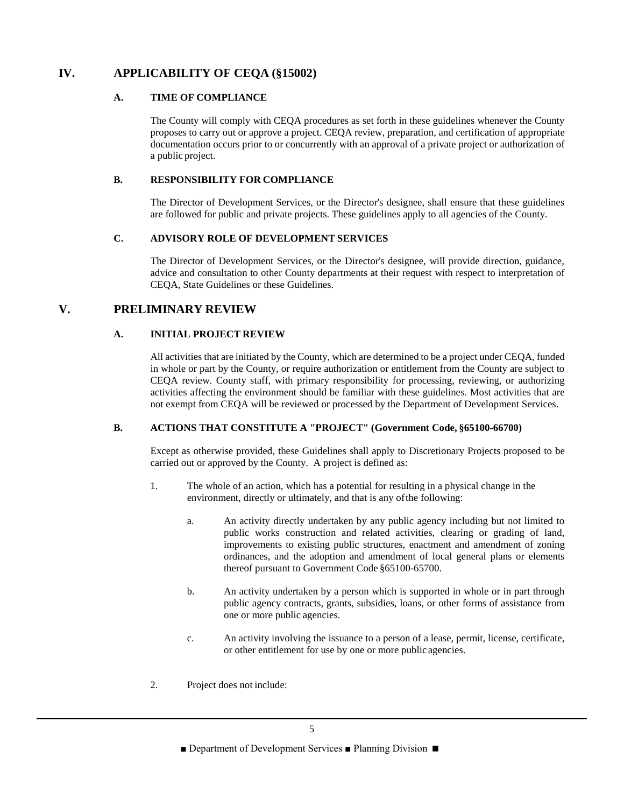# **IV. APPLICABILITY OF CEQA (§15002)**

## **A. TIME OF COMPLIANCE**

The County will comply with CEQA procedures as set forth in these guidelines whenever the County proposes to carry out or approve a project. CEQA review, preparation, and certification of appropriate documentation occurs prior to or concurrently with an approval of a private project or authorization of a public project.

## **B. RESPONSIBILITY FOR COMPLIANCE**

The Director of Development Services, or the Director's designee, shall ensure that these guidelines are followed for public and private projects. These guidelines apply to all agencies of the County.

## **C. ADVISORY ROLE OF DEVELOPMENT SERVICES**

The Director of Development Services, or the Director's designee, will provide direction, guidance, advice and consultation to other County departments at their request with respect to interpretation of CEQA, State Guidelines or these Guidelines.

## **V. PRELIMINARY REVIEW**

## **A. INITIAL PROJECT REVIEW**

All activities that are initiated by the County, which are determined to be a project under CEQA, funded in whole or part by the County, or require authorization or entitlement from the County are subject to CEQA review. County staff, with primary responsibility for processing, reviewing, or authorizing activities affecting the environment should be familiar with these guidelines. Most activities that are not exempt from CEQA will be reviewed or processed by the Department of Development Services.

## **B. ACTIONS THAT CONSTITUTE A "PROJECT" (Government Code, §65100-66700)**

Except as otherwise provided, these Guidelines shall apply to Discretionary Projects proposed to be carried out or approved by the County. A project is defined as:

- 1. The whole of an action, which has a potential for resulting in a physical change in the environment, directly or ultimately, and that is any ofthe following:
	- a. An activity directly undertaken by any public agency including but not limited to public works construction and related activities, clearing or grading of land, improvements to existing public structures, enactment and amendment of zoning ordinances, and the adoption and amendment of local general plans or elements thereof pursuant to Government Code §65100-65700.
	- b. An activity undertaken by a person which is supported in whole or in part through public agency contracts, grants, subsidies, loans, or other forms of assistance from one or more public agencies.
	- c. An activity involving the issuance to a person of a lease, permit, license, certificate, or other entitlement for use by one or more public agencies.
- 2. Project does not include: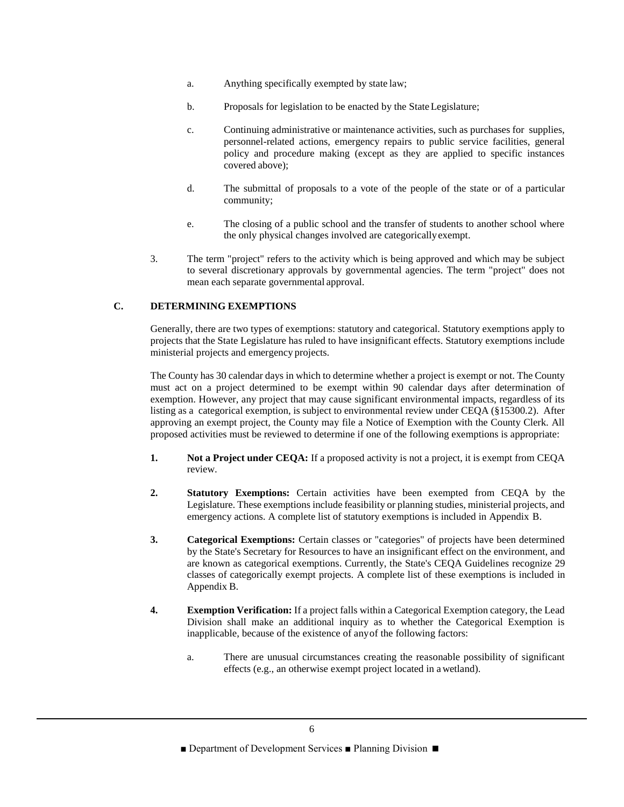- a. Anything specifically exempted by state law;
- b. Proposals for legislation to be enacted by the StateLegislature;
- c. Continuing administrative or maintenance activities, such as purchases for supplies, personnel-related actions, emergency repairs to public service facilities, general policy and procedure making (except as they are applied to specific instances covered above);
- d. The submittal of proposals to a vote of the people of the state or of a particular community;
- e. The closing of a public school and the transfer of students to another school where the only physical changes involved are categoricallyexempt.
- 3. The term "project" refers to the activity which is being approved and which may be subject to several discretionary approvals by governmental agencies. The term "project" does not mean each separate governmental approval.

## **C. DETERMINING EXEMPTIONS**

Generally, there are two types of exemptions: statutory and categorical. Statutory exemptions apply to projects that the State Legislature has ruled to have insignificant effects. Statutory exemptions include ministerial projects and emergency projects.

The County has 30 calendar days in which to determine whether a project is exempt or not. The County must act on a project determined to be exempt within 90 calendar days after determination of exemption. However, any project that may cause significant environmental impacts, regardless of its listing as a categorical exemption, is subject to environmental review under CEQA (§15300.2). After approving an exempt project, the County may file a Notice of Exemption with the County Clerk. All proposed activities must be reviewed to determine if one of the following exemptions is appropriate:

- **1. Not a Project under CEQA:** If a proposed activity is not a project, it is exempt from CEQA review.
- **2. Statutory Exemptions:** Certain activities have been exempted from CEQA by the Legislature. These exemptions include feasibility or planning studies, ministerial projects, and emergency actions. A complete list of statutory exemptions is included in Appendix B.
- **3. Categorical Exemptions:** Certain classes or "categories" of projects have been determined by the State's Secretary for Resources to have an insignificant effect on the environment, and are known as categorical exemptions. Currently, the State's CEQA Guidelines recognize 29 classes of categorically exempt projects. A complete list of these exemptions is included in Appendix B.
- **4. Exemption Verification:** If a project falls within a Categorical Exemption category, the Lead Division shall make an additional inquiry as to whether the Categorical Exemption is inapplicable, because of the existence of anyof the following factors:
	- a. There are unusual circumstances creating the reasonable possibility of significant effects (e.g., an otherwise exempt project located in a wetland).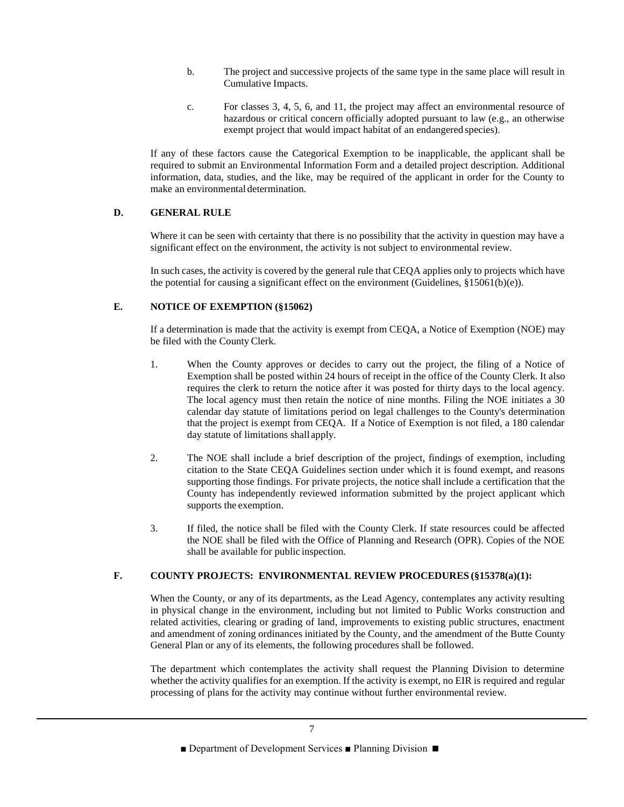- b. The project and successive projects of the same type in the same place will result in Cumulative Impacts.
- c. For classes 3, 4, 5, 6, and 11, the project may affect an environmental resource of hazardous or critical concern officially adopted pursuant to law (e.g., an otherwise exempt project that would impact habitat of an endangered species).

If any of these factors cause the Categorical Exemption to be inapplicable, the applicant shall be required to submit an Environmental Information Form and a detailed project description. Additional information, data, studies, and the like, may be required of the applicant in order for the County to make an environmental determination.

## **D. GENERAL RULE**

Where it can be seen with certainty that there is no possibility that the activity in question may have a significant effect on the environment, the activity is not subject to environmental review.

In such cases, the activity is covered by the general rule that CEQA applies only to projects which have the potential for causing a significant effect on the environment (Guidelines,  $\S 15061(b)(e)$ ).

## **E. NOTICE OF EXEMPTION (§15062)**

If a determination is made that the activity is exempt from CEQA, a Notice of Exemption (NOE) may be filed with the County Clerk.

- 1. When the County approves or decides to carry out the project, the filing of a Notice of Exemption shall be posted within 24 hours of receipt in the office of the County Clerk. It also requires the clerk to return the notice after it was posted for thirty days to the local agency. The local agency must then retain the notice of nine months. Filing the NOE initiates a 30 calendar day statute of limitations period on legal challenges to the County's determination that the project is exempt from CEQA. If a Notice of Exemption is not filed, a 180 calendar day statute of limitations shall apply.
- 2. The NOE shall include a brief description of the project, findings of exemption, including citation to the State CEQA Guidelines section under which it is found exempt, and reasons supporting those findings. For private projects, the notice shall include a certification that the County has independently reviewed information submitted by the project applicant which supports the exemption.
- 3. If filed, the notice shall be filed with the County Clerk. If state resources could be affected the NOE shall be filed with the Office of Planning and Research (OPR). Copies of the NOE shall be available for public inspection.

## **F. COUNTY PROJECTS: ENVIRONMENTAL REVIEW PROCEDURES (§15378(a)(1):**

When the County, or any of its departments, as the Lead Agency, contemplates any activity resulting in physical change in the environment, including but not limited to Public Works construction and related activities, clearing or grading of land, improvements to existing public structures, enactment and amendment of zoning ordinances initiated by the County, and the amendment of the Butte County General Plan or any of its elements, the following procedures shall be followed.

The department which contemplates the activity shall request the Planning Division to determine whether the activity qualifies for an exemption. If the activity is exempt, no EIR is required and regular processing of plans for the activity may continue without further environmental review.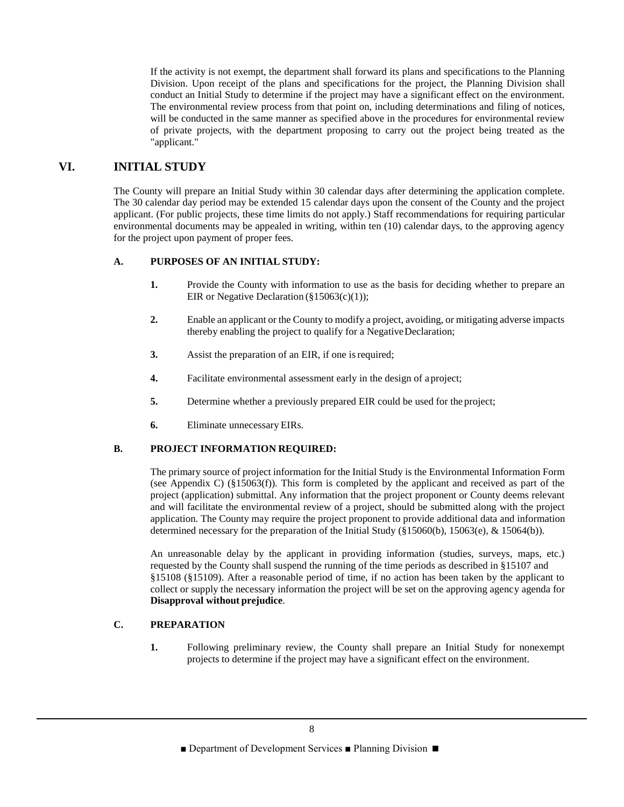If the activity is not exempt, the department shall forward its plans and specifications to the Planning Division. Upon receipt of the plans and specifications for the project, the Planning Division shall conduct an Initial Study to determine if the project may have a significant effect on the environment. The environmental review process from that point on, including determinations and filing of notices, will be conducted in the same manner as specified above in the procedures for environmental review of private projects, with the department proposing to carry out the project being treated as the "applicant."

## **VI. INITIAL STUDY**

The County will prepare an Initial Study within 30 calendar days after determining the application complete. The 30 calendar day period may be extended 15 calendar days upon the consent of the County and the project applicant. (For public projects, these time limits do not apply.) Staff recommendations for requiring particular environmental documents may be appealed in writing, within ten (10) calendar days, to the approving agency for the project upon payment of proper fees.

## **A. PURPOSES OF AN INITIAL STUDY:**

- **1.** Provide the County with information to use as the basis for deciding whether to prepare an EIR or Negative Declaration  $(\S15063(c)(1))$ ;
- **2.** Enable an applicant or the County to modify a project, avoiding, or mitigating adverse impacts thereby enabling the project to qualify for a NegativeDeclaration;
- **3.** Assist the preparation of an EIR, if one is required;
- **4.** Facilitate environmental assessment early in the design of a project;
- **5.** Determine whether a previously prepared EIR could be used for the project;
- **6.** Eliminate unnecessary EIRs.

## **B. PROJECT INFORMATION REQUIRED:**

The primary source of project information for the Initial Study is the Environmental Information Form (see Appendix C)  $(\S15063(f))$ . This form is completed by the applicant and received as part of the project (application) submittal. Any information that the project proponent or County deems relevant and will facilitate the environmental review of a project, should be submitted along with the project application. The County may require the project proponent to provide additional data and information determined necessary for the preparation of the Initial Study (§15060(b), 15063(e), & 15064(b)).

An unreasonable delay by the applicant in providing information (studies, surveys, maps, etc.) requested by the County shall suspend the running of the time periods as described in §15107 and §15108 (§15109). After a reasonable period of time, if no action has been taken by the applicant to collect or supply the necessary information the project will be set on the approving agency agenda for **Disapproval without prejudice**.

## **C. PREPARATION**

**1.** Following preliminary review, the County shall prepare an Initial Study for nonexempt projects to determine if the project may have a significant effect on the environment.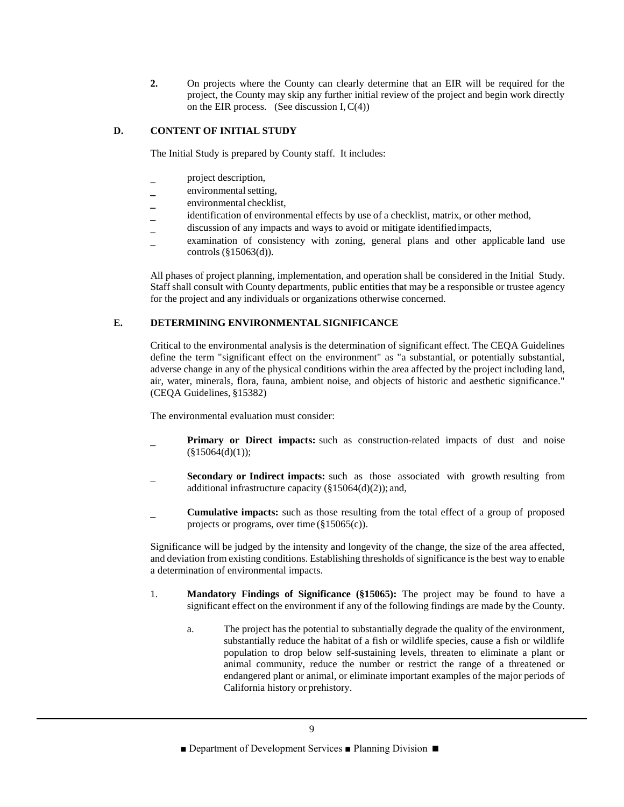**2.** On projects where the County can clearly determine that an EIR will be required for the project, the County may skip any further initial review of the project and begin work directly on the EIR process. (See discussion I,  $C(4)$ )

## **D. CONTENT OF INITIAL STUDY**

The Initial Study is prepared by County staff. It includes:

- project description,
- environmental setting,
- environmental checklist,
- identification of environmental effects by use of a checklist, matrix, or other method,
- discussion of any impacts and ways to avoid or mitigate identifiedimpacts,
- examination of consistency with zoning, general plans and other applicable land use controls (§15063(d)).

All phases of project planning, implementation, and operation shall be considered in the Initial Study. Staff shall consult with County departments, public entities that may be a responsible or trustee agency for the project and any individuals or organizations otherwise concerned.

## **E. DETERMINING ENVIRONMENTAL SIGNIFICANCE**

Critical to the environmental analysis is the determination of significant effect. The CEQA Guidelines define the term "significant effect on the environment" as "a substantial, or potentially substantial, adverse change in any of the physical conditions within the area affected by the project including land, air, water, minerals, flora, fauna, ambient noise, and objects of historic and aesthetic significance." (CEQA Guidelines, §15382)

The environmental evaluation must consider:

- **Primary or Direct impacts:** such as construction-related impacts of dust and noise  $(\$15064(d)(1));$
- **Secondary or Indirect impacts:** such as those associated with growth resulting from additional infrastructure capacity (§15064(d)(2)); and,
- **Cumulative impacts:** such as those resulting from the total effect of a group of proposed projects or programs, over time (§15065(c)).

Significance will be judged by the intensity and longevity of the change, the size of the area affected, and deviation from existing conditions. Establishing thresholds of significance is the best way to enable a determination of environmental impacts.

- 1. **Mandatory Findings of Significance (§15065):** The project may be found to have a significant effect on the environment if any of the following findings are made by the County.
	- a. The project has the potential to substantially degrade the quality of the environment, substantially reduce the habitat of a fish or wildlife species, cause a fish or wildlife population to drop below self-sustaining levels, threaten to eliminate a plant or animal community, reduce the number or restrict the range of a threatened or endangered plant or animal, or eliminate important examples of the major periods of California history or prehistory.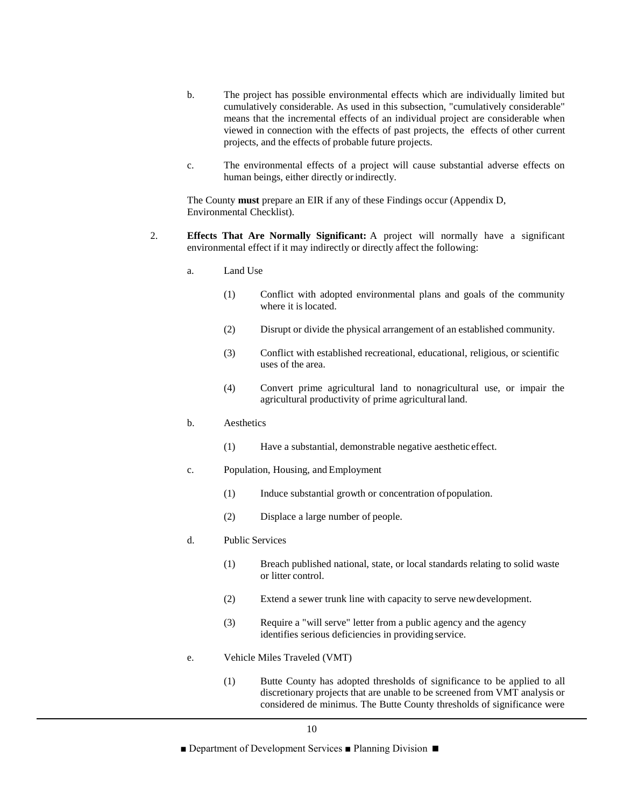- b. The project has possible environmental effects which are individually limited but cumulatively considerable. As used in this subsection, "cumulatively considerable" means that the incremental effects of an individual project are considerable when viewed in connection with the effects of past projects, the effects of other current projects, and the effects of probable future projects.
- c. The environmental effects of a project will cause substantial adverse effects on human beings, either directly or indirectly.

The County **must** prepare an EIR if any of these Findings occur (Appendix D, Environmental Checklist).

- 2. **Effects That Are Normally Significant:** A project will normally have a significant environmental effect if it may indirectly or directly affect the following:
	- a. Land Use
		- (1) Conflict with adopted environmental plans and goals of the community where it is located.
		- (2) Disrupt or divide the physical arrangement of an established community.
		- (3) Conflict with established recreational, educational, religious, or scientific uses of the area.
		- (4) Convert prime agricultural land to nonagricultural use, or impair the agricultural productivity of prime agriculturalland.
	- b. Aesthetics
		- (1) Have a substantial, demonstrable negative aesthetic effect.
	- c. Population, Housing, and Employment
		- (1) Induce substantial growth or concentration ofpopulation.
		- (2) Displace a large number of people.
	- d. Public Services
		- (1) Breach published national, state, or local standards relating to solid waste or litter control.
		- (2) Extend a sewer trunk line with capacity to serve newdevelopment.
		- (3) Require a "will serve" letter from a public agency and the agency identifies serious deficiencies in providing service.
	- e. Vehicle Miles Traveled (VMT)
		- (1) Butte County has adopted thresholds of significance to be applied to all discretionary projects that are unable to be screened from VMT analysis or considered de minimus. The Butte County thresholds of significance were

<sup>■</sup> Department of Development Services ■ Planning Division ■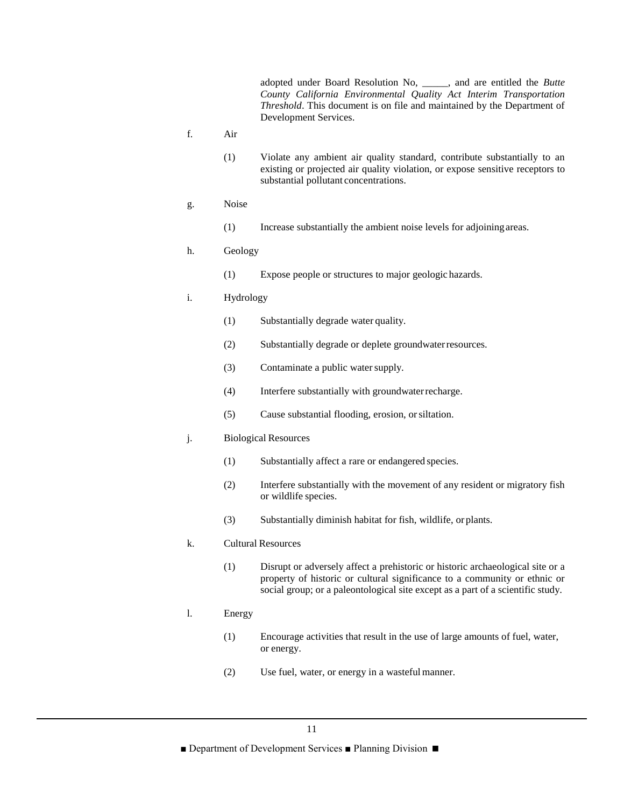adopted under Board Resolution No, \_\_\_\_\_, and are entitled the *Butte County California Environmental Quality Act Interim Transportation Threshold*. This document is on file and maintained by the Department of Development Services.

- f. Air
	- (1) Violate any ambient air quality standard, contribute substantially to an existing or projected air quality violation, or expose sensitive receptors to substantial pollutant concentrations.
- g. Noise
	- (1) Increase substantially the ambient noise levels for adjoiningareas.

## h. Geology

(1) Expose people or structures to major geologic hazards.

#### i. Hydrology

- (1) Substantially degrade water quality.
- (2) Substantially degrade or deplete groundwaterresources.
- (3) Contaminate a public water supply.
- (4) Interfere substantially with groundwaterrecharge.
- (5) Cause substantial flooding, erosion, orsiltation.

#### j. Biological Resources

- (1) Substantially affect a rare or endangered species.
- (2) Interfere substantially with the movement of any resident or migratory fish or wildlife species.
- (3) Substantially diminish habitat for fish, wildlife, or plants.

#### k. Cultural Resources

(1) Disrupt or adversely affect a prehistoric or historic archaeological site or a property of historic or cultural significance to a community or ethnic or social group; or a paleontological site except as a part of a scientific study.

#### l. Energy

- (1) Encourage activities that result in the use of large amounts of fuel, water, or energy.
- (2) Use fuel, water, or energy in a wasteful manner.

■ Department of Development Services ■ Planning Division ■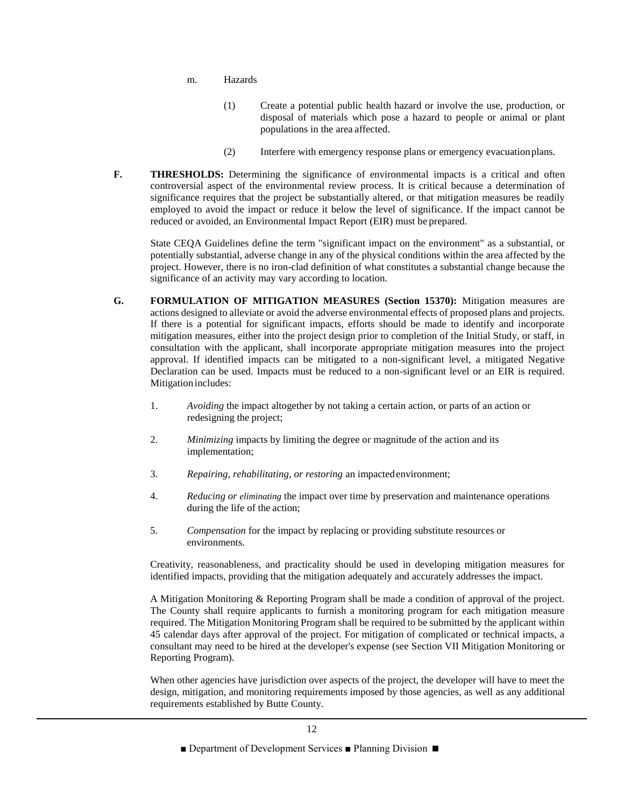- m. Hazards
	- (1) Create a potential public health hazard or involve the use, production, or disposal of materials which pose a hazard to people or animal or plant populations in the area affected.
	- (2) Interfere with emergency response plans or emergency evacuationplans.
- **F. THRESHOLDS:** Determining the significance of environmental impacts is a critical and often controversial aspect of the environmental review process. It is critical because a determination of significance requires that the project be substantially altered, or that mitigation measures be readily employed to avoid the impact or reduce it below the level of significance. If the impact cannot be reduced or avoided, an Environmental Impact Report (EIR) must be prepared.

State CEQA Guidelines define the term "significant impact on the environment" as a substantial, or potentially substantial, adverse change in any of the physical conditions within the area affected by the project. However, there is no iron-clad definition of what constitutes a substantial change because the significance of an activity may vary according to location.

- **G. FORMULATION OF MITIGATION MEASURES (Section 15370):** Mitigation measures are actions designed to alleviate or avoid the adverse environmental effects of proposed plans and projects. If there is a potential for significant impacts, efforts should be made to identify and incorporate mitigation measures, either into the project design prior to completion of the Initial Study, or staff, in consultation with the applicant, shall incorporate appropriate mitigation measures into the project approval. If identified impacts can be mitigated to a non-significant level, a mitigated Negative Declaration can be used. Impacts must be reduced to a non-significant level or an EIR is required. Mitigation includes:
	- 1. *Avoiding* the impact altogether by not taking a certain action, or parts of an action or redesigning the project;
	- 2. *Minimizing* impacts by limiting the degree or magnitude of the action and its implementation;
	- 3. *Repairing, rehabilitating, or restoring* an impactedenvironment;
	- 4. *Reducing or eliminating* the impact over time by preservation and maintenance operations during the life of the action;
	- 5. *Compensation* for the impact by replacing or providing substitute resources or environments.

Creativity, reasonableness, and practicality should be used in developing mitigation measures for identified impacts, providing that the mitigation adequately and accurately addresses the impact.

A Mitigation Monitoring & Reporting Program shall be made a condition of approval of the project. The County shall require applicants to furnish a monitoring program for each mitigation measure required. The Mitigation Monitoring Program shall be required to be submitted by the applicant within 45 calendar days after approval of the project. For mitigation of complicated or technical impacts, a consultant may need to be hired at the developer's expense (see Section VII Mitigation Monitoring or Reporting Program).

When other agencies have jurisdiction over aspects of the project, the developer will have to meet the design, mitigation, and monitoring requirements imposed by those agencies, as well as any additional requirements established by Butte County.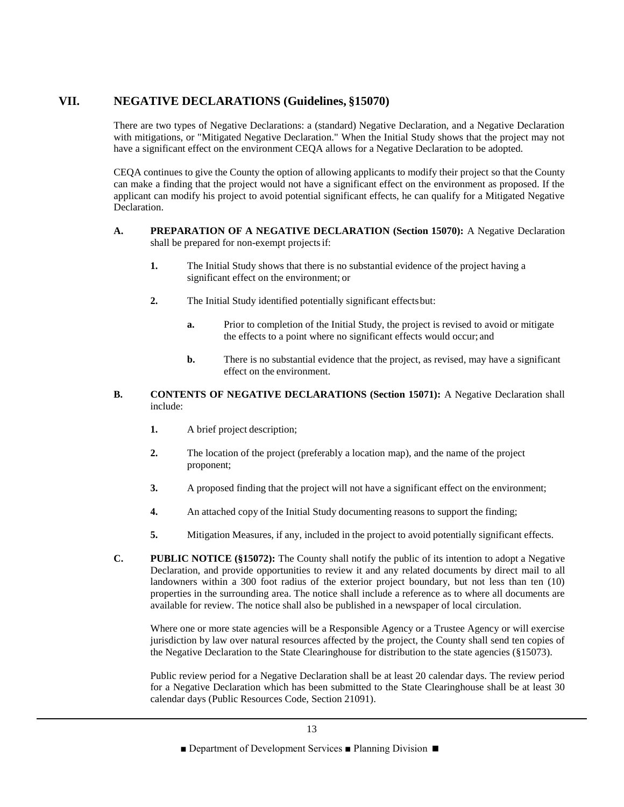## **VII. NEGATIVE DECLARATIONS (Guidelines, §15070)**

There are two types of Negative Declarations: a (standard) Negative Declaration, and a Negative Declaration with mitigations, or "Mitigated Negative Declaration." When the Initial Study shows that the project may not have a significant effect on the environment CEQA allows for a Negative Declaration to be adopted.

CEQA continues to give the County the option of allowing applicants to modify their project so that the County can make a finding that the project would not have a significant effect on the environment as proposed. If the applicant can modify his project to avoid potential significant effects, he can qualify for a Mitigated Negative Declaration.

- **A. PREPARATION OF A NEGATIVE DECLARATION (Section 15070):** A Negative Declaration shall be prepared for non-exempt projectsif:
	- **1.** The Initial Study shows that there is no substantial evidence of the project having a significant effect on the environment; or
	- **2.** The Initial Study identified potentially significant effectsbut:
		- **a.** Prior to completion of the Initial Study, the project is revised to avoid or mitigate the effects to a point where no significant effects would occur; and
		- **b.** There is no substantial evidence that the project, as revised, may have a significant effect on the environment.
- **B. CONTENTS OF NEGATIVE DECLARATIONS (Section 15071):** A Negative Declaration shall include:
	- **1.** A brief project description;
	- **2.** The location of the project (preferably a location map), and the name of the project proponent;
	- **3.** A proposed finding that the project will not have a significant effect on the environment;
	- **4.** An attached copy of the Initial Study documenting reasons to support the finding;
	- **5.** Mitigation Measures, if any, included in the project to avoid potentially significant effects.
- **C. PUBLIC NOTICE (§15072):** The County shall notify the public of its intention to adopt a Negative Declaration, and provide opportunities to review it and any related documents by direct mail to all landowners within a 300 foot radius of the exterior project boundary, but not less than ten (10) properties in the surrounding area. The notice shall include a reference as to where all documents are available for review. The notice shall also be published in a newspaper of local circulation.

Where one or more state agencies will be a Responsible Agency or a Trustee Agency or will exercise jurisdiction by law over natural resources affected by the project, the County shall send ten copies of the Negative Declaration to the State Clearinghouse for distribution to the state agencies (§15073).

Public review period for a Negative Declaration shall be at least 20 calendar days. The review period for a Negative Declaration which has been submitted to the State Clearinghouse shall be at least 30 calendar days (Public Resources Code, Section 21091).

<sup>■</sup> Department of Development Services ■ Planning Division ■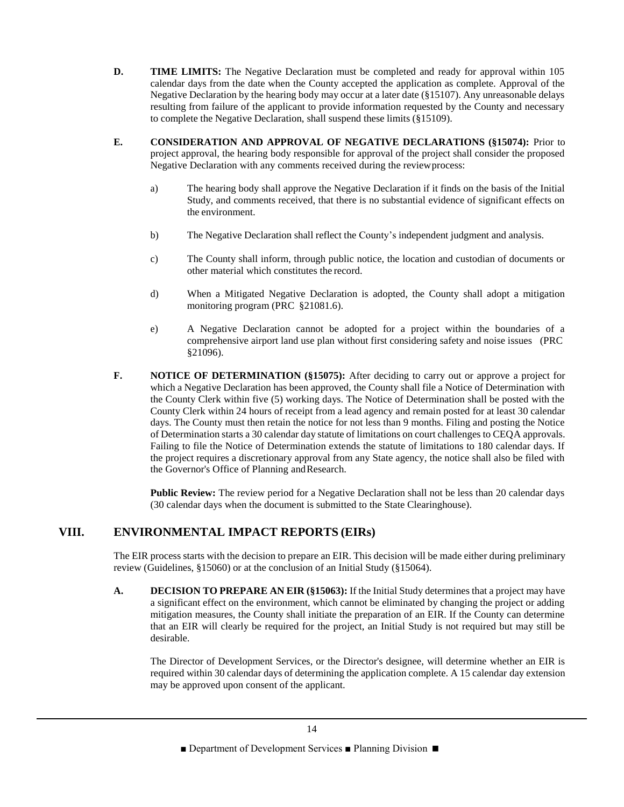- **D. TIME LIMITS:** The Negative Declaration must be completed and ready for approval within 105 calendar days from the date when the County accepted the application as complete. Approval of the Negative Declaration by the hearing body may occur at a later date (§15107). Any unreasonable delays resulting from failure of the applicant to provide information requested by the County and necessary to complete the Negative Declaration, shall suspend these limits (§15109).
- **E. CONSIDERATION AND APPROVAL OF NEGATIVE DECLARATIONS (§15074):** Prior to project approval, the hearing body responsible for approval of the project shall consider the proposed Negative Declaration with any comments received during the reviewprocess:
	- a) The hearing body shall approve the Negative Declaration if it finds on the basis of the Initial Study, and comments received, that there is no substantial evidence of significant effects on the environment.
	- b) The Negative Declaration shall reflect the County's independent judgment and analysis.
	- c) The County shall inform, through public notice, the location and custodian of documents or other material which constitutes the record.
	- d) When a Mitigated Negative Declaration is adopted, the County shall adopt a mitigation monitoring program (PRC §21081.6).
	- e) A Negative Declaration cannot be adopted for a project within the boundaries of a comprehensive airport land use plan without first considering safety and noise issues (PRC §21096).
- **F. NOTICE OF DETERMINATION (§15075):** After deciding to carry out or approve a project for which a Negative Declaration has been approved, the County shall file a Notice of Determination with the County Clerk within five (5) working days. The Notice of Determination shall be posted with the County Clerk within 24 hours of receipt from a lead agency and remain posted for at least 30 calendar days. The County must then retain the notice for not less than 9 months. Filing and posting the Notice of Determination starts a 30 calendar day statute of limitations on court challenges to CEQA approvals. Failing to file the Notice of Determination extends the statute of limitations to 180 calendar days. If the project requires a discretionary approval from any State agency, the notice shall also be filed with the Governor's Office of Planning and Research.

**Public Review:** The review period for a Negative Declaration shall not be less than 20 calendar days (30 calendar days when the document is submitted to the State Clearinghouse).

## **VIII. ENVIRONMENTAL IMPACT REPORTS (EIRs)**

The EIR process starts with the decision to prepare an EIR. This decision will be made either during preliminary review (Guidelines, §15060) or at the conclusion of an Initial Study (§15064).

**A. DECISION TO PREPARE AN EIR (§15063):** If the Initial Study determines that a project may have a significant effect on the environment, which cannot be eliminated by changing the project or adding mitigation measures, the County shall initiate the preparation of an EIR. If the County can determine that an EIR will clearly be required for the project, an Initial Study is not required but may still be desirable.

The Director of Development Services, or the Director's designee, will determine whether an EIR is required within 30 calendar days of determining the application complete. A 15 calendar day extension may be approved upon consent of the applicant.

<sup>■</sup> Department of Development Services ■ Planning Division ■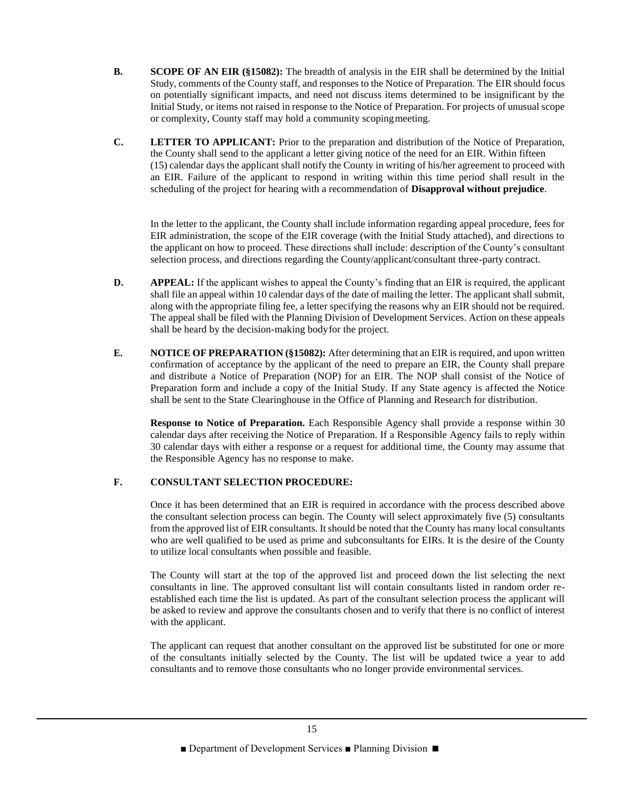- **B. SCOPE OF AN EIR (§15082):** The breadth of analysis in the EIR shall be determined by the Initial Study, comments of the County staff, and responses to the Notice of Preparation. The EIR should focus on potentially significant impacts, and need not discuss items determined to be insignificant by the Initial Study, or items not raised in response to the Notice of Preparation. For projects of unusual scope or complexity, County staff may hold a community scopingmeeting.
- **C. LETTER TO APPLICANT:** Prior to the preparation and distribution of the Notice of Preparation, the County shall send to the applicant a letter giving notice of the need for an EIR. Within fifteen (15) calendar days the applicant shall notify the County in writing of his/her agreement to proceed with an EIR. Failure of the applicant to respond in writing within this time period shall result in the scheduling of the project for hearing with a recommendation of **Disapproval without prejudice**.

In the letter to the applicant, the County shall include information regarding appeal procedure, fees for EIR administration, the scope of the EIR coverage (with the Initial Study attached), and directions to the applicant on how to proceed. These directions shall include: description of the County's consultant selection process, and directions regarding the County/applicant/consultant three-party contract.

- **D. APPEAL:** If the applicant wishes to appeal the County's finding that an EIR is required, the applicant shall file an appeal within 10 calendar days of the date of mailing the letter. The applicant shall submit, along with the appropriate filing fee, a letter specifying the reasons why an EIR should not be required. The appeal shall be filed with the Planning Division of Development Services. Action on these appeals shall be heard by the decision-making bodyfor the project.
- **E. NOTICE OF PREPARATION (§15082):** After determining that an EIR is required, and upon written confirmation of acceptance by the applicant of the need to prepare an EIR, the County shall prepare and distribute a Notice of Preparation (NOP) for an EIR. The NOP shall consist of the Notice of Preparation form and include a copy of the Initial Study. If any State agency is affected the Notice shall be sent to the State Clearinghouse in the Office of Planning and Research for distribution.

**Response to Notice of Preparation.** Each Responsible Agency shall provide a response within 30 calendar days after receiving the Notice of Preparation. If a Responsible Agency fails to reply within 30 calendar days with either a response or a request for additional time, the County may assume that the Responsible Agency has no response to make.

## **F. CONSULTANT SELECTION PROCEDURE:**

Once it has been determined that an EIR is required in accordance with the process described above the consultant selection process can begin. The County will select approximately five (5) consultants from the approved list of EIR consultants. It should be noted that the County has many local consultants who are well qualified to be used as prime and subconsultants for EIRs. It is the desire of the County to utilize local consultants when possible and feasible.

The County will start at the top of the approved list and proceed down the list selecting the next consultants in line. The approved consultant list will contain consultants listed in random order reestablished each time the list is updated. As part of the consultant selection process the applicant will be asked to review and approve the consultants chosen and to verify that there is no conflict of interest with the applicant.

The applicant can request that another consultant on the approved list be substituted for one or more of the consultants initially selected by the County. The list will be updated twice a year to add consultants and to remove those consultants who no longer provide environmental services.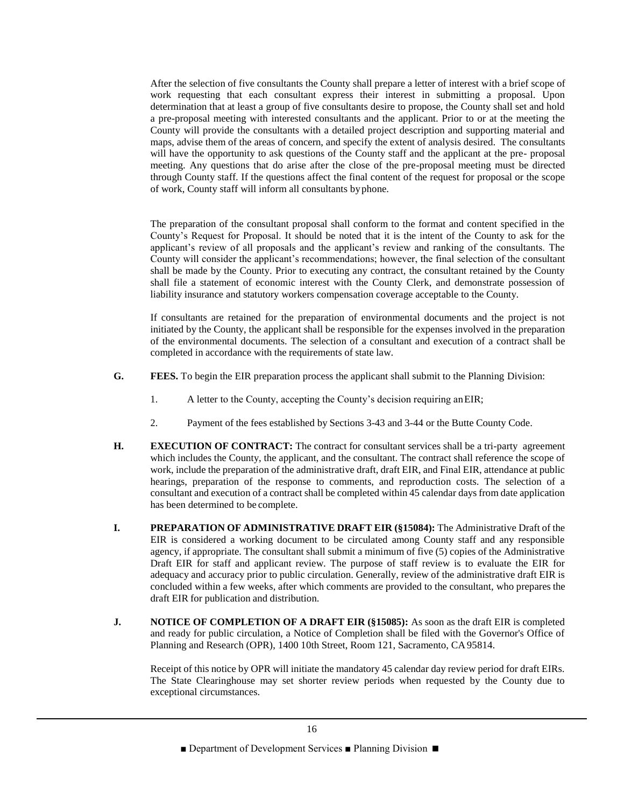After the selection of five consultants the County shall prepare a letter of interest with a brief scope of work requesting that each consultant express their interest in submitting a proposal. Upon determination that at least a group of five consultants desire to propose, the County shall set and hold a pre-proposal meeting with interested consultants and the applicant. Prior to or at the meeting the County will provide the consultants with a detailed project description and supporting material and maps, advise them of the areas of concern, and specify the extent of analysis desired. The consultants will have the opportunity to ask questions of the County staff and the applicant at the pre- proposal meeting. Any questions that do arise after the close of the pre-proposal meeting must be directed through County staff. If the questions affect the final content of the request for proposal or the scope of work, County staff will inform all consultants byphone.

The preparation of the consultant proposal shall conform to the format and content specified in the County's Request for Proposal. It should be noted that it is the intent of the County to ask for the applicant's review of all proposals and the applicant's review and ranking of the consultants. The County will consider the applicant's recommendations; however, the final selection of the consultant shall be made by the County. Prior to executing any contract, the consultant retained by the County shall file a statement of economic interest with the County Clerk, and demonstrate possession of liability insurance and statutory workers compensation coverage acceptable to the County.

If consultants are retained for the preparation of environmental documents and the project is not initiated by the County, the applicant shall be responsible for the expenses involved in the preparation of the environmental documents. The selection of a consultant and execution of a contract shall be completed in accordance with the requirements of state law.

- **G. FEES.** To begin the EIR preparation process the applicant shall submit to the Planning Division:
	- 1. A letter to the County, accepting the County's decision requiring anEIR;
	- 2. Payment of the fees established by Sections 3-43 and 3-44 or the Butte County Code.
- **H. EXECUTION OF CONTRACT:** The contract for consultant services shall be a tri-party agreement which includes the County, the applicant, and the consultant. The contract shall reference the scope of work, include the preparation of the administrative draft, draft EIR, and Final EIR, attendance at public hearings, preparation of the response to comments, and reproduction costs. The selection of a consultant and execution of a contract shall be completed within 45 calendar days from date application has been determined to be complete.
- **I. PREPARATION OF ADMINISTRATIVE DRAFT EIR (§15084):** The Administrative Draft of the EIR is considered a working document to be circulated among County staff and any responsible agency, if appropriate. The consultant shall submit a minimum of five (5) copies of the Administrative Draft EIR for staff and applicant review. The purpose of staff review is to evaluate the EIR for adequacy and accuracy prior to public circulation. Generally, review of the administrative draft EIR is concluded within a few weeks, after which comments are provided to the consultant, who prepares the draft EIR for publication and distribution.
- **J. NOTICE OF COMPLETION OF A DRAFT EIR (§15085):** As soon as the draft EIR is completed and ready for public circulation, a Notice of Completion shall be filed with the Governor's Office of Planning and Research (OPR), 1400 10th Street, Room 121, Sacramento, CA95814.

Receipt of this notice by OPR will initiate the mandatory 45 calendar day review period for draft EIRs. The State Clearinghouse may set shorter review periods when requested by the County due to exceptional circumstances.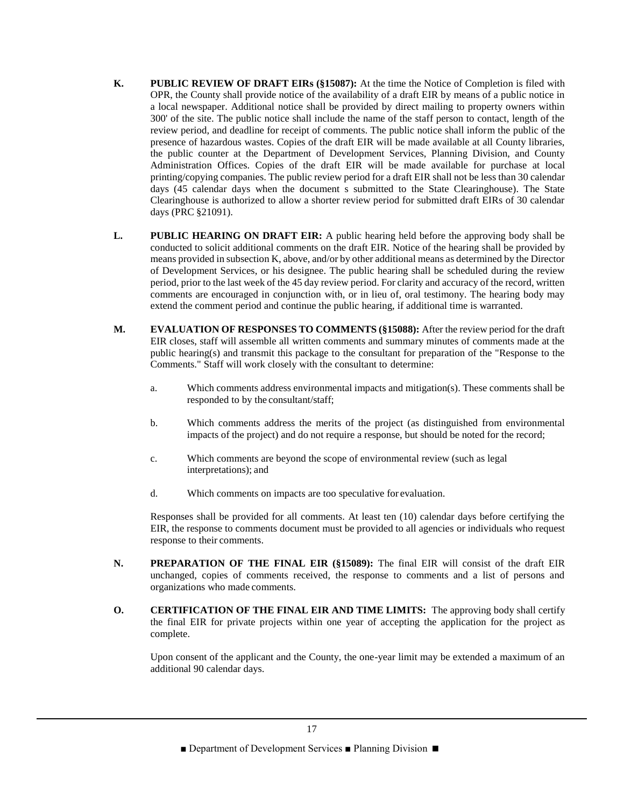- **K. PUBLIC REVIEW OF DRAFT EIRs (§15087):** At the time the Notice of Completion is filed with OPR, the County shall provide notice of the availability of a draft EIR by means of a public notice in a local newspaper. Additional notice shall be provided by direct mailing to property owners within 300' of the site. The public notice shall include the name of the staff person to contact, length of the review period, and deadline for receipt of comments. The public notice shall inform the public of the presence of hazardous wastes. Copies of the draft EIR will be made available at all County libraries, the public counter at the Department of Development Services, Planning Division, and County Administration Offices. Copies of the draft EIR will be made available for purchase at local printing/copying companies. The public review period for a draft EIR shall not be less than 30 calendar days (45 calendar days when the document s submitted to the State Clearinghouse). The State Clearinghouse is authorized to allow a shorter review period for submitted draft EIRs of 30 calendar days (PRC §21091).
- **L. PUBLIC HEARING ON DRAFT EIR:** A public hearing held before the approving body shall be conducted to solicit additional comments on the draft EIR. Notice of the hearing shall be provided by means provided in subsection K, above, and/or by other additional means as determined by the Director of Development Services, or his designee. The public hearing shall be scheduled during the review period, prior to the last week of the 45 day review period. For clarity and accuracy of the record, written comments are encouraged in conjunction with, or in lieu of, oral testimony. The hearing body may extend the comment period and continue the public hearing, if additional time is warranted.
- **M. EVALUATION OF RESPONSES TO COMMENTS (§15088):** After the review period for the draft EIR closes, staff will assemble all written comments and summary minutes of comments made at the public hearing(s) and transmit this package to the consultant for preparation of the "Response to the Comments." Staff will work closely with the consultant to determine:
	- a. Which comments address environmental impacts and mitigation(s). These comments shall be responded to by the consultant/staff;
	- b. Which comments address the merits of the project (as distinguished from environmental impacts of the project) and do not require a response, but should be noted for the record;
	- c. Which comments are beyond the scope of environmental review (such as legal interpretations); and
	- d. Which comments on impacts are too speculative for evaluation.

Responses shall be provided for all comments. At least ten (10) calendar days before certifying the EIR, the response to comments document must be provided to all agencies or individuals who request response to their comments.

- **N. PREPARATION OF THE FINAL EIR (§15089):** The final EIR will consist of the draft EIR unchanged, copies of comments received, the response to comments and a list of persons and organizations who made comments.
- **O. CERTIFICATION OF THE FINAL EIR AND TIME LIMITS:** The approving body shall certify the final EIR for private projects within one year of accepting the application for the project as complete.

Upon consent of the applicant and the County, the one-year limit may be extended a maximum of an additional 90 calendar days.

■ Department of Development Services ■ Planning Division ■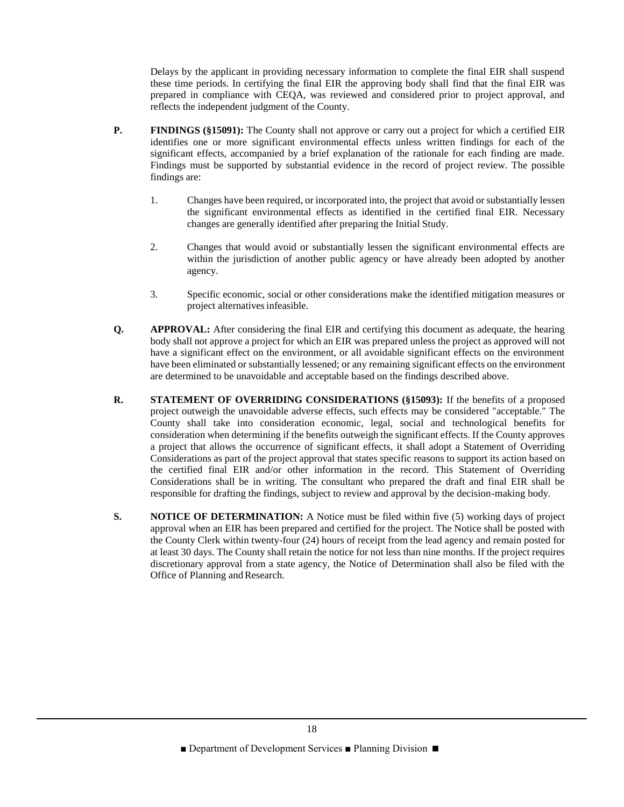Delays by the applicant in providing necessary information to complete the final EIR shall suspend these time periods. In certifying the final EIR the approving body shall find that the final EIR was prepared in compliance with CEQA, was reviewed and considered prior to project approval, and reflects the independent judgment of the County.

- **P. FINDINGS** (§15091): The County shall not approve or carry out a project for which a certified EIR identifies one or more significant environmental effects unless written findings for each of the significant effects, accompanied by a brief explanation of the rationale for each finding are made. Findings must be supported by substantial evidence in the record of project review. The possible findings are:
	- 1. Changes have been required, or incorporated into, the project that avoid or substantially lessen the significant environmental effects as identified in the certified final EIR. Necessary changes are generally identified after preparing the Initial Study.
	- 2. Changes that would avoid or substantially lessen the significant environmental effects are within the jurisdiction of another public agency or have already been adopted by another agency.
	- 3. Specific economic, social or other considerations make the identified mitigation measures or project alternatives infeasible.
- **Q. APPROVAL:** After considering the final EIR and certifying this document as adequate, the hearing body shall not approve a project for which an EIR was prepared unless the project as approved will not have a significant effect on the environment, or all avoidable significant effects on the environment have been eliminated or substantially lessened; or any remaining significant effects on the environment are determined to be unavoidable and acceptable based on the findings described above.
- **R. STATEMENT OF OVERRIDING CONSIDERATIONS (§15093):** If the benefits of a proposed project outweigh the unavoidable adverse effects, such effects may be considered "acceptable." The County shall take into consideration economic, legal, social and technological benefits for consideration when determining if the benefits outweigh the significant effects. If the County approves a project that allows the occurrence of significant effects, it shall adopt a Statement of Overriding Considerations as part of the project approval that states specific reasons to support its action based on the certified final EIR and/or other information in the record. This Statement of Overriding Considerations shall be in writing. The consultant who prepared the draft and final EIR shall be responsible for drafting the findings, subject to review and approval by the decision-making body.
- **S. NOTICE OF DETERMINATION:** A Notice must be filed within five (5) working days of project approval when an EIR has been prepared and certified for the project. The Notice shall be posted with the County Clerk within twenty-four (24) hours of receipt from the lead agency and remain posted for at least 30 days. The County shall retain the notice for not less than nine months. If the project requires discretionary approval from a state agency, the Notice of Determination shall also be filed with the Office of Planning and Research.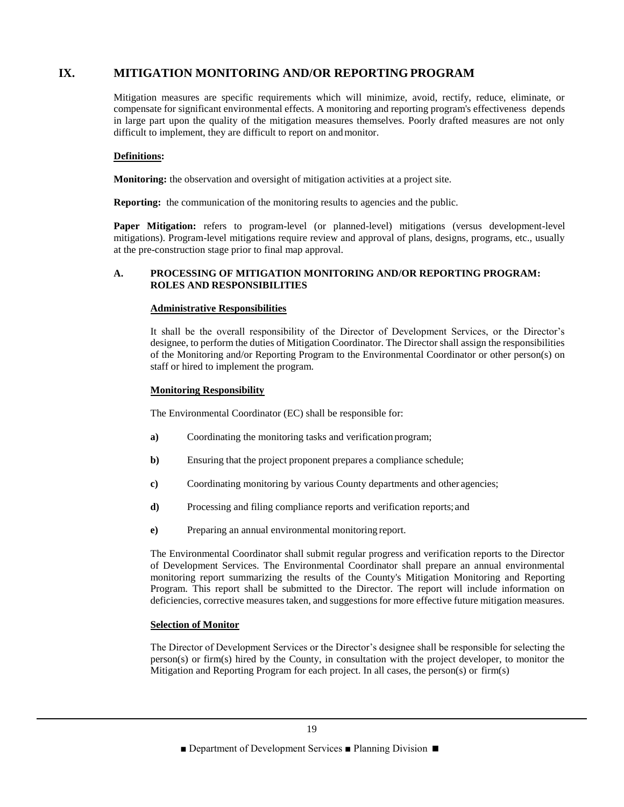# **IX. MITIGATION MONITORING AND/OR REPORTING PROGRAM**

Mitigation measures are specific requirements which will minimize, avoid, rectify, reduce, eliminate, or compensate for significant environmental effects. A monitoring and reporting program's effectiveness depends in large part upon the quality of the mitigation measures themselves. Poorly drafted measures are not only difficult to implement, they are difficult to report on andmonitor.

## **Definitions:**

**Monitoring:** the observation and oversight of mitigation activities at a project site.

**Reporting:** the communication of the monitoring results to agencies and the public.

Paper Mitigation: refers to program-level (or planned-level) mitigations (versus development-level mitigations). Program-level mitigations require review and approval of plans, designs, programs, etc., usually at the pre-construction stage prior to final map approval.

## **A. PROCESSING OF MITIGATION MONITORING AND/OR REPORTING PROGRAM: ROLES AND RESPONSIBILITIES**

## **Administrative Responsibilities**

It shall be the overall responsibility of the Director of Development Services, or the Director's designee, to perform the duties of Mitigation Coordinator. The Director shall assign the responsibilities of the Monitoring and/or Reporting Program to the Environmental Coordinator or other person(s) on staff or hired to implement the program.

#### **Monitoring Responsibility**

The Environmental Coordinator (EC) shall be responsible for:

- **a)** Coordinating the monitoring tasks and verification program;
- **b**) Ensuring that the project proponent prepares a compliance schedule;
- **c)** Coordinating monitoring by various County departments and other agencies;
- **d)** Processing and filing compliance reports and verification reports; and
- **e)** Preparing an annual environmental monitoring report.

The Environmental Coordinator shall submit regular progress and verification reports to the Director of Development Services. The Environmental Coordinator shall prepare an annual environmental monitoring report summarizing the results of the County's Mitigation Monitoring and Reporting Program. This report shall be submitted to the Director. The report will include information on deficiencies, corrective measures taken, and suggestions for more effective future mitigation measures.

## **Selection of Monitor**

The Director of Development Services or the Director's designee shall be responsible for selecting the person(s) or firm(s) hired by the County, in consultation with the project developer, to monitor the Mitigation and Reporting Program for each project. In all cases, the person(s) or firm(s)